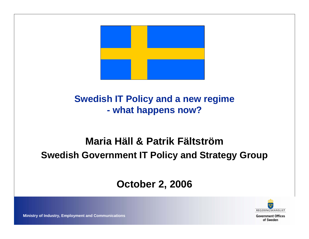

#### **Swedish IT Policy and a new regime what happens now?**

#### **Maria Häll & Patrik FältströmSwedish Government IT Policy and Strategy Group**

#### **October 2, 2006**



**Government Offices** of Sweden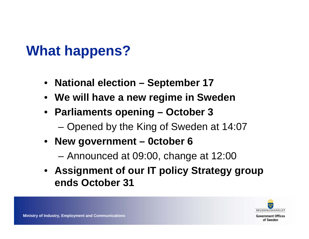### **What happens?**

- **National election – September 17**
- **We will have a new regime in Sweden**
- **Parliaments opening – October 3**
	- Opened by the King of Sweden at 14:07
- **New government – 0ctober 6**

Announced at 09:00, change at 12:00

• **Assignment of our IT policy Strategy group ends October 31**



**Ministry of Industry, Employment and Communications**

**Government Offices** of Sweden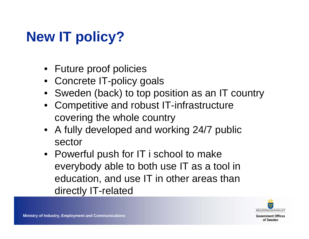# **New IT policy?**

- Future proof policies
- Concrete IT-policy goals
- Sweden (back) to top position as an IT country
- Competitive and robust IT-infrastructure covering the whole country
- A fully developed and working 24/7 public sector
- Powerful push for IT i school to make everybody able to both use IT as a tool in education, and use IT in other areas than directly IT-related



**Government Offices** of Sweden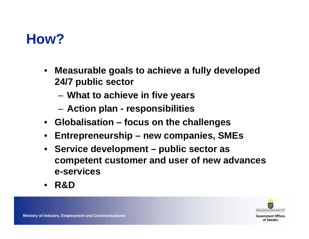

- $\bullet$  **Measurable goals to achieve a fully developed 24/7 public sector**
	- –**What to achieve in five years**
	- –**Action plan - responsibilities**
- **Globalisation – focus on the challenges**
- •**Entrepreneurship – new companies, SMEs**
- $\bullet$  **Service development – public sector as competent customer and user of new advances e-services**
- •**R&D**

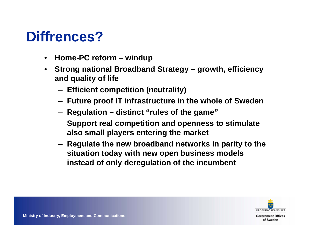## **Diffrences?**

- •**Home-PC reform – windup**
- • **Strong national Broadband Strategy – growth, efficiency and quality of life**
	- –**Efficient competition (neutrality)**
	- –**Future proof IT infrastructure in the whole of Sweden**
	- –**Regulation – distinct "rules of the game"**
	- – **Support real competition and openness to stimulate also small players entering the market**
	- – **Regulate the new broadband networks in parity to the situation today with new open business models instead of only deregulation of the incumbent**



**Government Offices** of Sweden